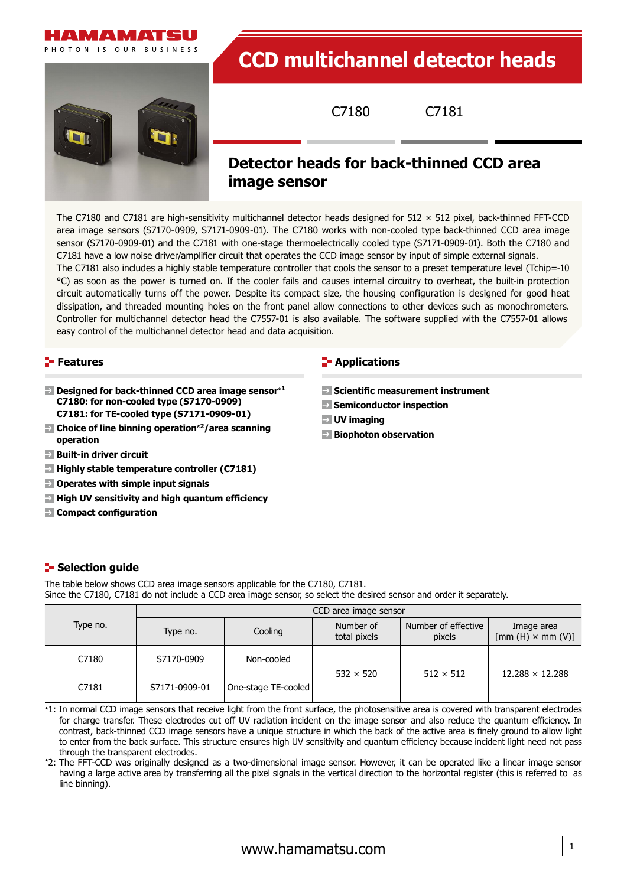



# **CCD multichannel detector heads**

C7180 C7181

# **Detector heads for back-thinned CCD area**

#### **image sensor**

The C7180 and C7181 are high-sensitivity multichannel detector heads designed for  $512 \times 512$  pixel, back-thinned FFT-CCD area image sensors (S7170-0909, S7171-0909-01). The C7180 works with non-cooled type back-thinned CCD area image sensor (S7170-0909-01) and the C7181 with one-stage thermoelectrically cooled type (S7171-0909-01). Both the C7180 and C7181 have a low noise driver/amplifier circuit that operates the CCD image sensor by input of simple external signals. The C7181 also includes a highly stable temperature controller that cools the sensor to a preset temperature level (Tchip=-10 °C) as soon as the power is turned on. If the cooler fails and causes internal circuitry to overheat, the built-in protection circuit automatically turns off the power. Despite its compact size, the housing configuration is designed for good heat dissipation, and threaded mounting holes on the front panel allow connections to other devices such as monochrometers. Controller for multichannel detector head the C7557-01 is also available. The software supplied with the C7557-01 allows easy control of the multichannel detector head and data acquisition.

#### **Features**

- **Designed for back-thinned CCD area image sensor\*<sup>1</sup> C7180: for non-cooled type (S7170-0909) C7181: for TE-cooled type (S7171-0909-01)**
- **Choice of line binning operation\*2/area scanning operation**
- **Built-in driver circuit**
- **Highly stable temperature controller (C7181)**
- **Operates with simple input signals**
- **High UV sensitivity and high quantum efficiency**
- **Compact configuration**

#### **E-** Applications

- **Scientific measurement instrument**
- **Semiconductor inspection**
- **UV imaging**
- **Biophoton observation**

#### **Selection guide**

The table below shows CCD area image sensors applicable for the C7180, C7181. Since the C7180, C7181 do not include a CCD area image sensor, so select the desired sensor and order it separately.

|          | CCD area image sensor |                     |                           |                               |                                      |  |  |  |
|----------|-----------------------|---------------------|---------------------------|-------------------------------|--------------------------------------|--|--|--|
| Type no. | Type no.              |                     | Number of<br>total pixels | Number of effective<br>pixels | Image area<br>$[mm(H) \times mm(V)]$ |  |  |  |
| C7180    | S7170-0909            | Non-cooled          |                           |                               |                                      |  |  |  |
| C7181    | S7171-0909-01         | One-stage TE-cooled | $532 \times 520$          | $512 \times 512$              | $12.288 \times 12.288$               |  |  |  |

\*1: In normal CCD image sensors that receive light from the front surface, the photosensitive area is covered with transparent electrodes for charge transfer. These electrodes cut off UV radiation incident on the image sensor and also reduce the quantum efficiency. In contrast, back-thinned CCD image sensors have a unique structure in which the back of the active area is finely ground to allow light to enter from the back surface. This structure ensures high UV sensitivity and quantum efficiency because incident light need not pass through the transparent electrodes.

\*2: The FFT-CCD was originally designed as a two-dimensional image sensor. However, it can be operated like a linear image sensor having a large active area by transferring all the pixel signals in the vertical direction to the horizontal register (this is referred to as line binning).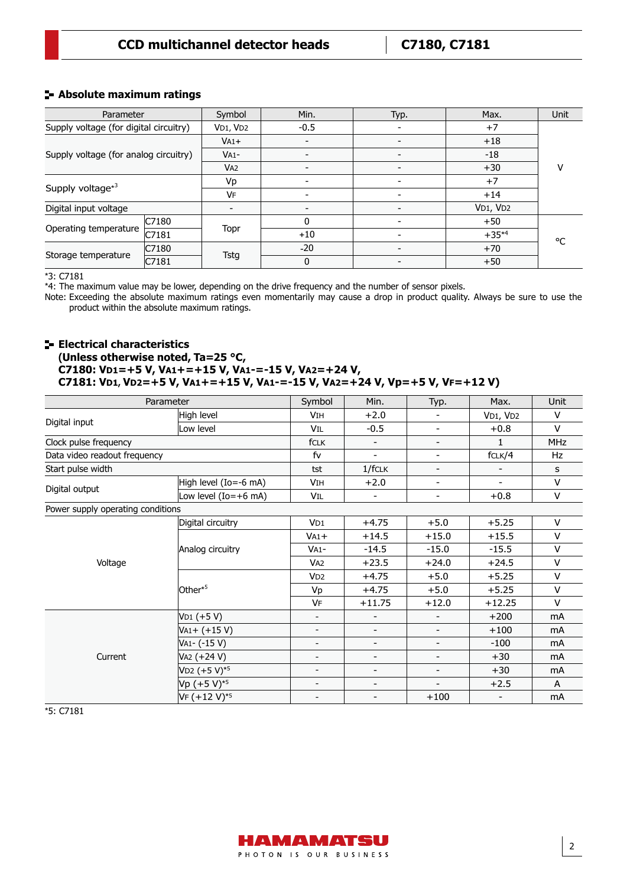#### **CCD multichannel detector heads C7180, C7181**

#### **Absolute maximum ratings**

| Parameter                              |       | Symbol                            | Min.                     | Typ.                     | Max.       | Unit |
|----------------------------------------|-------|-----------------------------------|--------------------------|--------------------------|------------|------|
| Supply voltage (for digital circuitry) |       | V <sub>D1</sub> , V <sub>D2</sub> | $-0.5$                   |                          | $+7$       |      |
| Supply voltage (for analog circuitry)  |       | $VA1+$                            | $\overline{\phantom{a}}$ |                          | $+18$      |      |
|                                        |       | $VA1 -$                           | $\overline{\phantom{0}}$ |                          | $-18$      |      |
|                                        |       | V <sub>A2</sub>                   | $\overline{\phantom{a}}$ |                          | $+30$      | ٧    |
| Supply voltage <sup>*3</sup>           |       | Vp                                | -                        |                          | $+7$       |      |
|                                        |       | VF                                |                          |                          | $+14$      |      |
| Digital input voltage                  |       |                                   | $\overline{\phantom{a}}$ |                          | VD1, VD2   |      |
| Operating temperature                  | C7180 |                                   | 0                        |                          | $+50$      |      |
|                                        | C7181 | Topr                              | $+10$                    |                          | $+35^{*4}$ | ۰C   |
| Storage temperature                    | C7180 |                                   | $-20$                    | $\overline{\phantom{0}}$ | $+70$      |      |
|                                        | C7181 | Tstg                              | 0                        |                          | $+50$      |      |

 $*3:$  C7181

\*4: The maximum value may be lower, depending on the drive frequency and the number of sensor pixels.

Note: Exceeding the absolute maximum ratings even momentarily may cause a drop in product quality. Always be sure to use the product within the absolute maximum ratings.

#### **Electrical characteristics (Unless otherwise noted, Ta=25 °C, C7180: VD1=+5 V, VA1+=+15 V, VA1-=-15 V, VA2=+24 V, C7181: VD1, VD2=+5 V, VA1+=+15 V, VA1-=-15 V, VA2=+24 V, Vp=+5 V, VF=+12 V)**

| Parameter                         | Symbol                 | Min.                     | Typ.                     | Max.                     | <b>Unit</b>              |                |
|-----------------------------------|------------------------|--------------------------|--------------------------|--------------------------|--------------------------|----------------|
|                                   | High level             | <b>VIH</b>               | $+2.0$                   |                          | VD1, VD2                 | V              |
| Digital input                     | Low level              | VIL                      | $-0.5$                   | $\overline{\phantom{a}}$ | $+0.8$                   | V              |
| Clock pulse frequency             |                        | fCLK                     | $\overline{\phantom{0}}$ | $\overline{\phantom{a}}$ | $\mathbf{1}$             | <b>MHz</b>     |
| Data video readout frequency      |                        | fv                       | $\blacksquare$           | $\overline{\phantom{a}}$ | fCLK/4                   | Hz             |
| Start pulse width                 |                        | tst                      | 1/fCLK                   | $\overline{\phantom{a}}$ |                          | s              |
|                                   | High level (Io=-6 mA)  | VIH                      | $+2.0$                   | $\overline{\phantom{a}}$ | $\overline{\phantom{0}}$ | v              |
| Digital output                    | Low level $(Io=+6$ mA) | Vil                      |                          | $\overline{\phantom{a}}$ | $+0.8$                   | V              |
| Power supply operating conditions |                        |                          |                          |                          |                          |                |
|                                   | Digital circuitry      | VD1                      | $+4.75$                  | $+5.0$                   | $+5.25$                  | V              |
|                                   |                        | $VA1+$                   | $+14.5$                  | $+15.0$                  | $+15.5$                  | v              |
|                                   | Analog circuitry       | $VA1-$                   | $-14.5$                  | $-15.0$                  | $-15.5$                  | V              |
| Voltage                           |                        | VA <sub>2</sub>          | $+23.5$                  | $+24.0$                  | $+24.5$                  | $\vee$         |
|                                   |                        | VD <sub>2</sub>          | $+4.75$                  | $+5.0$                   | $+5.25$                  | V              |
|                                   | Other* <sup>5</sup>    | Vp                       | $+4.75$                  | $+5.0$                   | $+5.25$                  | v              |
|                                   |                        | VF                       | $+11.75$                 | $+12.0$                  | $+12.25$                 | V              |
|                                   | V <sub>D1</sub> (+5 V) |                          |                          | $\overline{\phantom{a}}$ | $+200$                   | mA             |
|                                   | $VA1 + (+15 V)$        |                          | -                        | $\overline{\phantom{a}}$ | $+100$                   | mA             |
|                                   | VA1- (-15 V)           | $\overline{\phantom{a}}$ | -                        | $\overline{\phantom{a}}$ | $-100$                   | mA             |
| Current                           | VA2 (+24 V)            |                          | $\overline{\phantom{0}}$ | $\overline{\phantom{a}}$ | $+30$                    | m <sub>A</sub> |
|                                   | $VD2 (+5 V)*5$         |                          | $\overline{\phantom{0}}$ | $\overline{\phantom{a}}$ | $+30$                    | mA             |
|                                   | Vp $(+5 V)^{*5}$       |                          | -                        | $\overline{\phantom{a}}$ | $+2.5$                   | A              |
|                                   | VF (+12 V)*5           | $\overline{\phantom{a}}$ | -                        | $+100$                   | $\overline{\phantom{a}}$ | mA             |

\*5: C7181

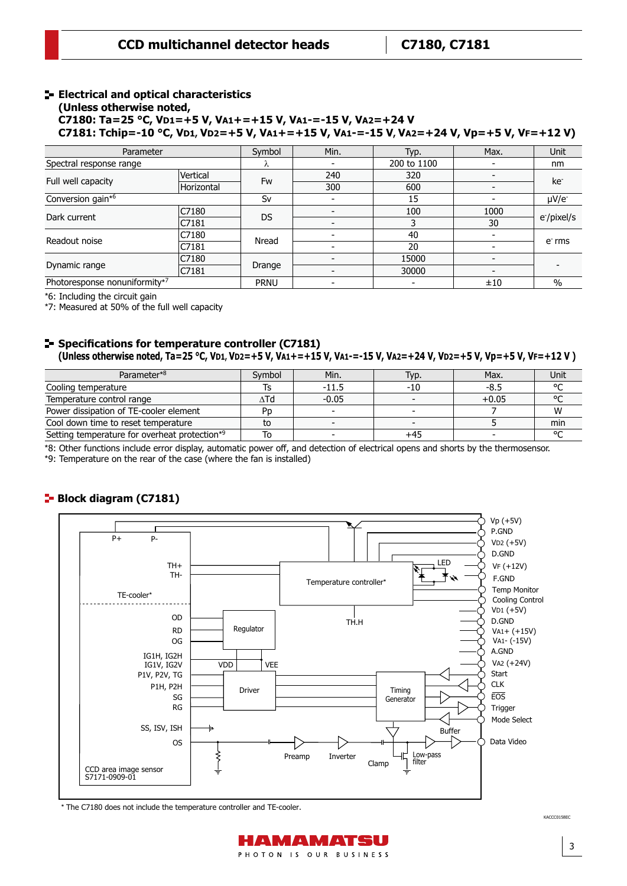#### **Electrical and optical characteristics (Unless otherwise noted,**

**C7180: Ta=25 °C, VD1=+5 V, VA1+=+15 V, VA1-=-15 V, VA2=+24 V**

**C7181: Tchip=-10 °C, VD1, VD2=+5 V, VA1+=+15 V, VA1-=-15 V, VA2=+24 V, Vp=+5 V, VF=+12 V)**

| Parameter                     | Symbol     | Min.        | Typ.        | Max.                     | <b>Unit</b>              |                         |  |
|-------------------------------|------------|-------------|-------------|--------------------------|--------------------------|-------------------------|--|
| Spectral response range       | Λ          |             | 200 to 1100 | $\overline{\phantom{0}}$ | nm                       |                         |  |
|                               | Vertical   | Fw          | 240         | 320                      |                          | ke <sup>-</sup>         |  |
| Full well capacity            | Horizontal |             | 300         | 600                      |                          |                         |  |
| Conversion gain*6             |            | Sv          |             | 15                       |                          | $\mu V/e^-$             |  |
| Dark current                  | C7180      | <b>DS</b>   |             | 100                      | 1000                     | e <sup>-</sup> /pixel/s |  |
|                               | C7181      |             |             |                          | 30                       |                         |  |
| Readout noise                 | C7180      | Nread       |             | 40                       |                          |                         |  |
|                               | C7181      |             |             | 20                       |                          | $er$ rms                |  |
| Dynamic range                 | C7180      |             |             | 15000                    | $\overline{\phantom{a}}$ |                         |  |
|                               | C7181      | Drange      |             | 30000                    | $\overline{\phantom{0}}$ |                         |  |
| Photoresponse nonuniformity*7 |            | <b>PRNU</b> |             |                          | ±10                      | $\frac{0}{0}$           |  |

\*6: Including the circuit gain

\*7: Measured at 50% of the full well capacity

#### **Specifications for temperature controller (C7181) (Unless otherwise noted, Ta=25 °C, VD1, VD2=+5 V, VA1+=+15 V, VA1-=-15 V, VA2=+24 V, VD2=+5 V, Vp=+5 V, VF=+12 V )**

| Parameter*8                                               | Symbol | Min.    | Typ.  | Max.    | Unit   |
|-----------------------------------------------------------|--------|---------|-------|---------|--------|
| Cooling temperature                                       |        | $-11.5$ | $-10$ | -8.5    | $\sim$ |
| Temperature control range                                 | ۸Td    | $-0.05$ |       | $+0.05$ | ۰      |
| Power dissipation of TE-cooler element                    | Pn     |         |       |         | W      |
| Cool down time to reset temperature                       | to     |         |       |         | min    |
| Setting temperature for overheat protection <sup>*9</sup> |        |         |       |         | $\sim$ |

\*8: Other functions include error display, automatic power off, and detection of electrical opens and shorts by the thermosensor.

\*9: Temperature on the rear of the case (where the fan is installed)

#### Block diagram (C7181) **Block diagram (C7181)**



\* The C7180 does not include the temperature controller and TE-cooler.

KACCC0158EC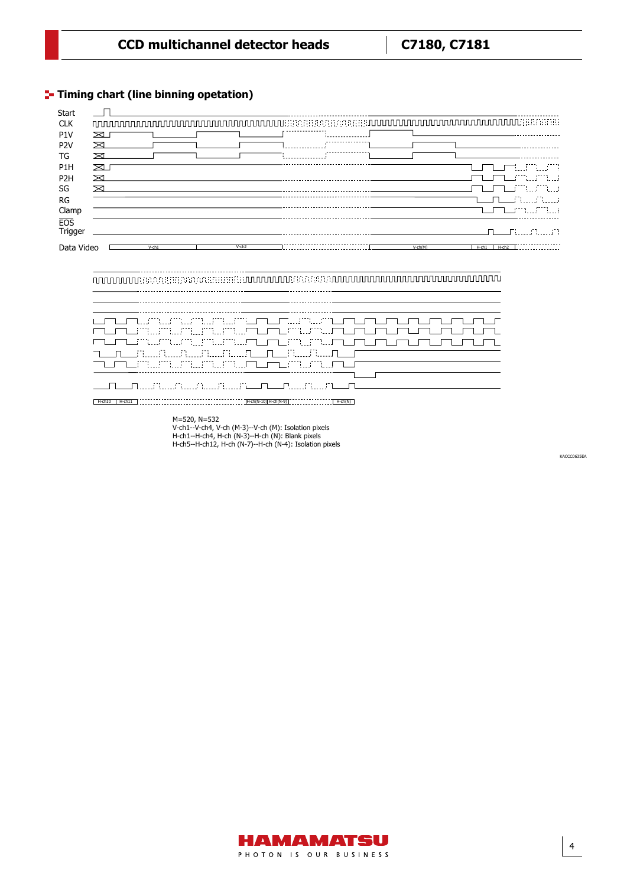### **T** Timing chart (line binning opetation)

 $\overline{a}$ 

| Start            |    |          |                      |  |           |                       |
|------------------|----|----------|----------------------|--|-----------|-----------------------|
| <b>CLK</b>       |    |          |                      |  |           |                       |
| P1V              | ⊠  |          |                      |  |           |                       |
| P <sub>2</sub> V | ⋝  |          |                      |  |           |                       |
| TG               |    |          |                      |  |           |                       |
| P <sub>1</sub> H | ∞  |          |                      |  |           | ITIITIITT             |
| P <sub>2</sub> H | ⋝₹ |          |                      |  |           | maamuumuu             |
| SG               | ⊠  |          |                      |  |           | <u>mumamana</u>       |
| RG               |    |          |                      |  |           | a martin di se        |
| Clamp            |    |          |                      |  |           |                       |
| <b>EOS</b>       |    |          |                      |  |           |                       |
| Trigger          |    |          |                      |  |           | 그는 무대로 우리 사람          |
| Data Video       |    | $V$ -ch1 | $V$ -ch <sub>2</sub> |  | $V-ch(M)$ | $H - ch2$<br>$H$ -ch1 |

\_\_\_\_\_\_\_\_\_\_\_\_\_\_\_\_\_\_

| IT MUALIKA KARA KARA MUALI WA TUTU MATUTU MUALI NA MATUTU MWA WA WAKATUTU WA MATUTU WA WAKATUTU WA MATUTU WA M |
|----------------------------------------------------------------------------------------------------------------|
| mumumumumumumumumumumumumumumum                                                                                |
| mumumumumumumumum m m mum m m m                                                                                |
| n n e sa e e sa n n e cultura<br>TUTUMIN MUNICIPALITI TUTUMIN MATUTT                                           |
|                                                                                                                |
|                                                                                                                |

H-ch10 H-ch11 H-ch(N-10) H-ch(N-9) H-ch(N)

M=520, N=532 V-ch1--V-ch4, V-ch (M-3)--V-ch (M): Isolation pixels H-ch1--H-ch4, H-ch (N-3)--H-ch (N): Blank pixels H-ch5--H-ch12, H-ch (N-7)--H-ch (N-4): Isolation pixels

KACCC0635EA KACCC0635EA

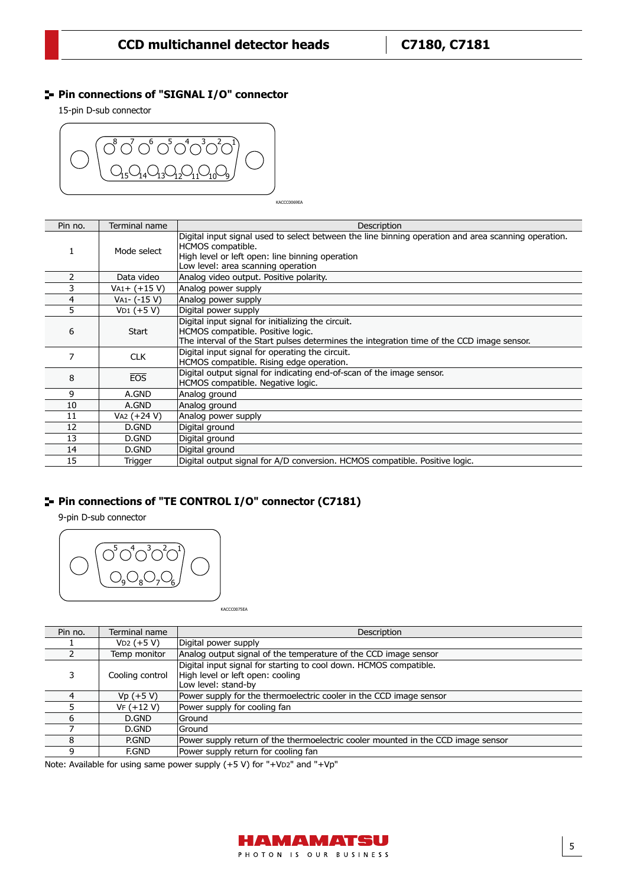#### **Pin connections of "SIGNAL I/O" connector**

15-pin D-sub connector



KACCC0069EA

| Pin no. | Terminal name      | Description                                                                                                                                                                                                       |
|---------|--------------------|-------------------------------------------------------------------------------------------------------------------------------------------------------------------------------------------------------------------|
| T.      | Mode select        | Digital input signal used to select between the line binning operation and area scanning operation.<br>HCMOS compatible.<br>High level or left open: line binning operation<br>Low level: area scanning operation |
|         | Data video         | Analog video output. Positive polarity.                                                                                                                                                                           |
|         | $V_{A1} + (+15 V)$ | Analog power supply                                                                                                                                                                                               |
| 4       | VA1- (-15 V)       | Analog power supply                                                                                                                                                                                               |
| 5       | $VD1 (+5 V)$       | Digital power supply                                                                                                                                                                                              |
| 6       | Start              | Digital input signal for initializing the circuit.<br>HCMOS compatible. Positive logic.<br>The interval of the Start pulses determines the integration time of the CCD image sensor.                              |
| 7       | <b>CLK</b>         | Digital input signal for operating the circuit.<br>HCMOS compatible. Rising edge operation.                                                                                                                       |
| 8       | <b>EOS</b>         | Digital output signal for indicating end-of-scan of the image sensor.<br>HCMOS compatible. Negative logic.                                                                                                        |
| 9       | A.GND              | Analog ground                                                                                                                                                                                                     |
| 10      | A.GND              | Analog ground                                                                                                                                                                                                     |
| 11      | VA2 (+24 V)        | Analog power supply                                                                                                                                                                                               |
| 12      | D.GND              | Digital ground                                                                                                                                                                                                    |
| 13      | D.GND              | Digital ground                                                                                                                                                                                                    |
| 14      | D.GND              | Digital ground                                                                                                                                                                                                    |
| 15      | Trigger            | Digital output signal for A/D conversion. HCMOS compatible. Positive logic.                                                                                                                                       |

#### **Pin connections of "TE CONTROL I/O" connector (C7181)**

9-pin D-sub connector



KACCC0075EA

| Pin no. | Terminal name   | Description                                                                                                                  |
|---------|-----------------|------------------------------------------------------------------------------------------------------------------------------|
|         | $VD2 (+5 V)$    | Digital power supply                                                                                                         |
|         | Temp monitor    | Analog output signal of the temperature of the CCD image sensor                                                              |
|         | Cooling control | Digital input signal for starting to cool down. HCMOS compatible.<br>High level or left open: cooling<br>Low level: stand-by |
| 4       | $Vp (+5 V)$     | Power supply for the thermoelectric cooler in the CCD image sensor                                                           |
|         | $VF (+12 V)$    | Power supply for cooling fan                                                                                                 |
| 6       | D.GND           | lGround                                                                                                                      |
|         | D.GND           | Ground                                                                                                                       |
|         | P.GND           | Power supply return of the thermoelectric cooler mounted in the CCD image sensor                                             |
| q       | <b>F.GND</b>    | Power supply return for cooling fan                                                                                          |

Note: Available for using same power supply (+5 V) for "+VD2" and "+Vp"

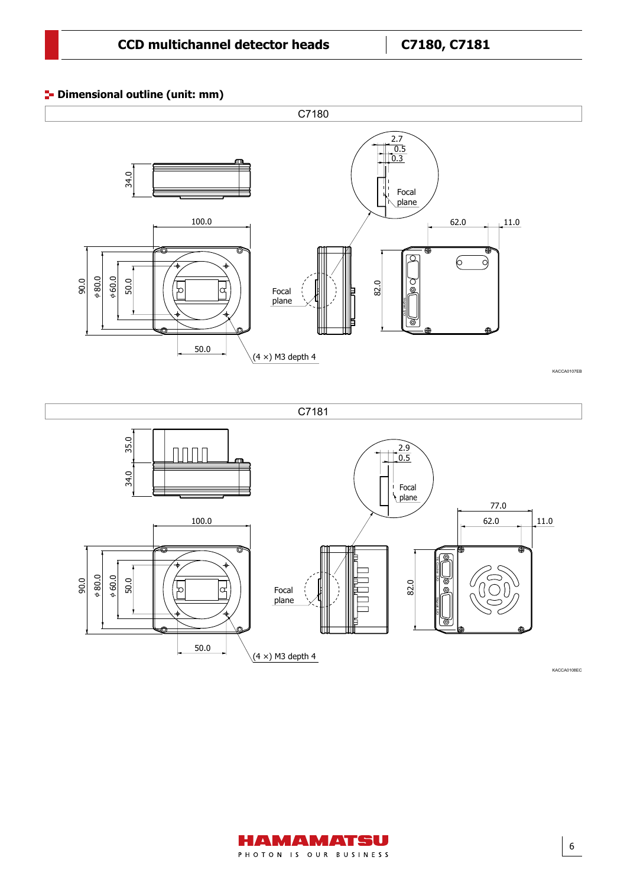#### **<sup>1</sup>** Dimensional outline (unit: mm)

Dimensional outline (C7040, C7180, unit: mm)







KACCA0108EC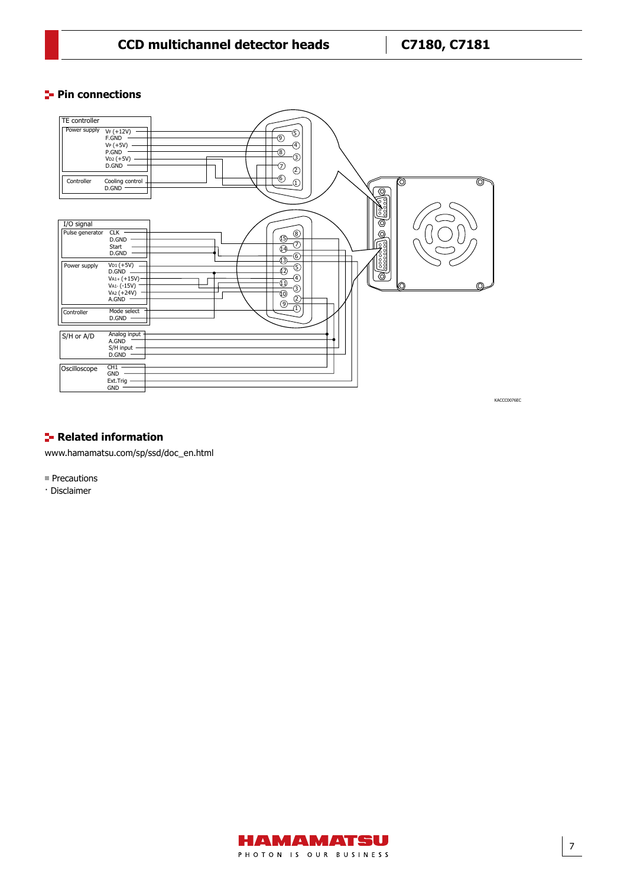#### **CCD multichannel detector heads C7180, C7181**

#### **Pin connections**



#### **F** Related information

[www.hamamatsu.com/sp/ssd/doc\\_en.html](https://www.hamamatsu.com/sp/ssd/doc_en.html)

- Precautions
- · Disclaimer